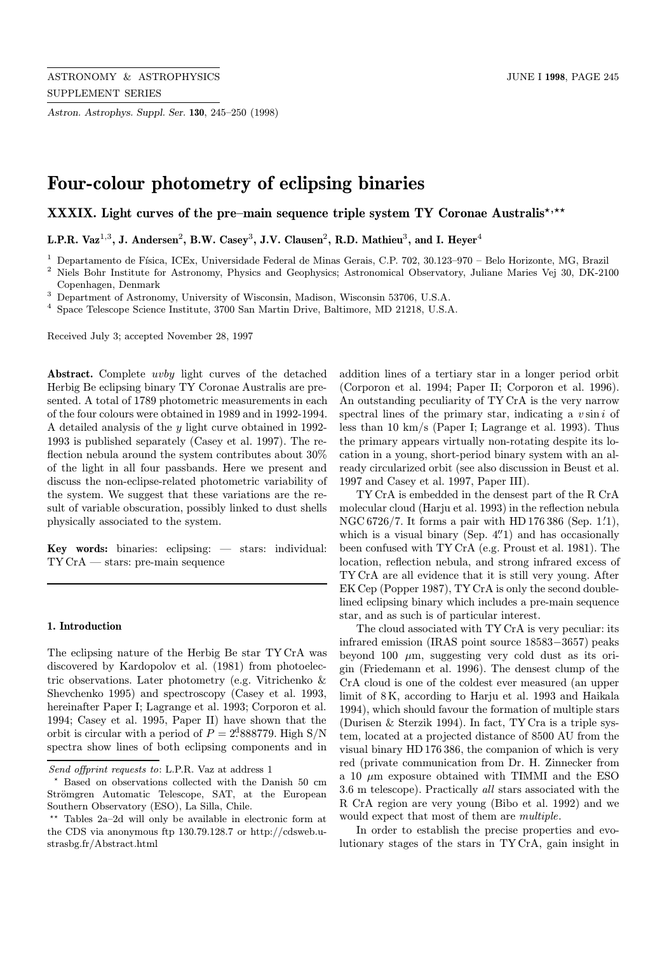Astron. Astrophys. Suppl. Ser. 130, 245–250 (1998)

# Four-colour photometry of eclipsing binaries

XXXIX. Light curves of the pre–main sequence triple system TY Coronae Australis<sup>\*,\*\*</sup>

L.P.R. Vaz<sup>1,3</sup>, J. Andersen<sup>2</sup>, B.W. Casey<sup>3</sup>, J.V. Clausen<sup>2</sup>, R.D. Mathieu<sup>3</sup>, and I. Heyer<sup>4</sup>

<sup>1</sup> Departamento de Física, ICEx, Universidade Federal de Minas Gerais, C.P. 702, 30.123–970 – Belo Horizonte, MG, Brazil

<sup>2</sup> Niels Bohr Institute for Astronomy, Physics and Geophysics; Astronomical Observatory, Juliane Maries Vej 30, DK-2100

<sup>3</sup> Department of Astronomy, University of Wisconsin, Madison, Wisconsin 53706, U.S.A.

<sup>4</sup> Space Telescope Science Institute, 3700 San Martin Drive, Baltimore, MD 21218, U.S.A.

Received July 3; accepted November 28, 1997

Abstract. Complete uvby light curves of the detached Herbig Be eclipsing binary TY Coronae Australis are presented. A total of 1789 photometric measurements in each of the four colours were obtained in 1989 and in 1992-1994. A detailed analysis of the y light curve obtained in 1992- 1993 is published separately (Casey et al. 1997). The reflection nebula around the system contributes about 30% of the light in all four passbands. Here we present and discuss the non-eclipse-related photometric variability of the system. We suggest that these variations are the result of variable obscuration, possibly linked to dust shells physically associated to the system.

Key words: binaries: eclipsing: — stars: individual: TY CrA — stars: pre-main sequence

## 1. Introduction

The eclipsing nature of the Herbig Be star TY CrA was discovered by Kardopolov et al. (1981) from photoelectric observations. Later photometry (e.g. Vitrichenko & Shevchenko 1995) and spectroscopy (Casey et al. 1993, hereinafter Paper I; Lagrange et al. 1993; Corporon et al. 1994; Casey et al. 1995, Paper II) have shown that the orbit is circular with a period of  $P = 2^{d}888779$ . High S/N spectra show lines of both eclipsing components and in

addition lines of a tertiary star in a longer period orbit (Corporon et al. 1994; Paper II; Corporon et al. 1996). An outstanding peculiarity of TY CrA is the very narrow spectral lines of the primary star, indicating a  $v \sin i$  of less than 10 km/s (Paper I; Lagrange et al. 1993). Thus the primary appears virtually non-rotating despite its location in a young, short-period binary system with an already circularized orbit (see also discussion in Beust et al. 1997 and Casey et al. 1997, Paper III).

TY CrA is embedded in the densest part of the R CrA molecular cloud (Harju et al. 1993) in the reflection nebula NGC 6726/7. It forms a pair with HD 176 386 (Sep.  $1'$ .), which is a visual binary (Sep.  $4''$ 1) and has occasionally been confused with TY CrA (e.g. Proust et al. 1981). The location, reflection nebula, and strong infrared excess of TY CrA are all evidence that it is still very young. After EK Cep (Popper 1987), TY CrA is only the second doublelined eclipsing binary which includes a pre-main sequence star, and as such is of particular interest.

The cloud associated with TY CrA is very peculiar: its infrared emission (IRAS point source 18583−3657) peaks beyond 100  $\mu$ m, suggesting very cold dust as its origin (Friedemann et al. 1996). The densest clump of the CrA cloud is one of the coldest ever measured (an upper limit of 8 K, according to Harju et al. 1993 and Haikala 1994), which should favour the formation of multiple stars (Durisen & Sterzik 1994). In fact, TY Cra is a triple system, located at a projected distance of 8500 AU from the visual binary HD 176 386, the companion of which is very red (private communication from Dr. H. Zinnecker from a 10  $\mu$ m exposure obtained with TIMMI and the ESO 3.6 m telescope). Practically all stars associated with the R CrA region are very young (Bibo et al. 1992) and we would expect that most of them are multiple.

In order to establish the precise properties and evolutionary stages of the stars in TY CrA, gain insight in

Copenhagen, Denmark

Send offprint requests to: L.P.R. Vaz at address 1

Based on observations collected with the Danish 50 cm Strömgren Automatic Telescope, SAT, at the European Southern Observatory (ESO), La Silla, Chile.

 $**$  Tables 2a–2d will only be available in electronic form at the CDS via anonymous ftp 130.79.128.7 or http://cdsweb.ustrasbg.fr/Abstract.html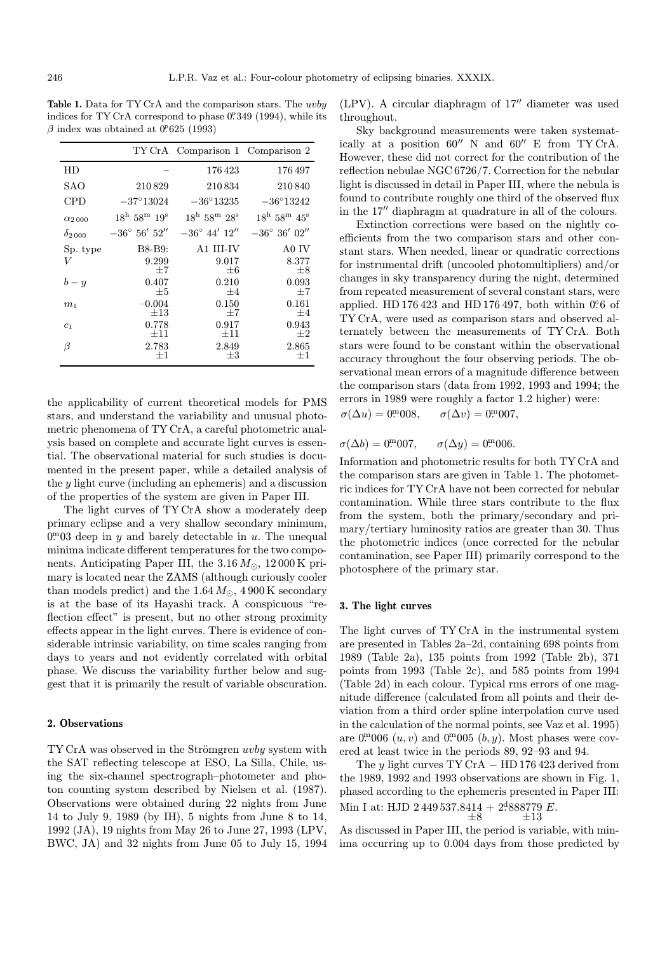Table 1. Data for TY CrA and the comparison stars. The uvby indices for TY CrA correspond to phase 0. 349 (1994), while its  $\beta$  index was obtained at 0.625 (1993)

|                 |                                           | TY CrA Comparison 1 Comparison 2          |                                           |
|-----------------|-------------------------------------------|-------------------------------------------|-------------------------------------------|
| HD              |                                           | 176423                                    | 176497                                    |
| SAO             | 210829                                    | 210834                                    | 210840                                    |
| CPD             | $-37^{\circ}13024$                        | $-36^{\circ}13235$                        | $-36^{\circ}13242$                        |
| $\alpha_{2000}$ | $18^{\rm h}$ 58 <sup>m</sup> $19^{\rm s}$ | $18^{\rm h}$ 58 <sup>m</sup> $28^{\rm s}$ | $18^{\rm h}$ 58 <sup>m</sup> $45^{\rm s}$ |
| $\delta_{2000}$ | $-36^{\circ} 56' 52''$                    | $-36^{\circ}$ 44' $12''$                  | $-36^{\circ} 36' 02''$                    |
| Sp. type        | B8-B9:                                    | A1 III-IV                                 | A0 IV                                     |
| V               | 9.299<br>$+7$                             | 9.017<br>$\pm 6$                          | 8.377<br>$\pm 8$                          |
| $b - y$         | 0.407<br>$+5$                             | 0.210<br>$\pm 4$                          | 0.093<br>$+7$                             |
| m <sub>1</sub>  | $-0.004$<br>$\pm 13$                      | 0.150<br>$\pm 7$                          | 0.161<br>$\pm 4$                          |
| c <sub>1</sub>  | 0.778<br>$\pm 11$                         | 0.917<br>$+11$                            | 0.943<br>$+2$                             |
| β               | 2.783<br>$+1$                             | 2.849<br>$\pm 3$                          | 2.865<br>$\pm 1$                          |

the applicability of current theoretical models for PMS stars, and understand the variability and unusual photometric phenomena of TY CrA, a careful photometric analysis based on complete and accurate light curves is essential. The observational material for such studies is documented in the present paper, while a detailed analysis of the y light curve (including an ephemeris) and a discussion of the properties of the system are given in Paper III.

The light curves of TY CrA show a moderately deep primary eclipse and a very shallow secondary minimum,  $0<sup>m</sup>03$  deep in y and barely detectable in u. The unequal minima indicate different temperatures for the two components. Anticipating Paper III, the  $3.16 M_{\odot}$ ,  $12\,000\,\mathrm{K}$  primary is located near the ZAMS (although curiously cooler than models predict) and the  $1.64 M_{\odot}$ , 4900 K secondary is at the base of its Hayashi track. A conspicuous "reflection effect" is present, but no other strong proximity effects appear in the light curves. There is evidence of considerable intrinsic variability, on time scales ranging from days to years and not evidently correlated with orbital phase. We discuss the variability further below and suggest that it is primarily the result of variable obscuration.

#### 2. Observations

 $TY CrA$  was observed in the Strömgren *uvby* system with the SAT reflecting telescope at ESO, La Silla, Chile, using the six-channel spectrograph–photometer and photon counting system described by Nielsen et al. (1987). Observations were obtained during 22 nights from June 14 to July 9, 1989 (by IH), 5 nights from June 8 to 14, 1992 (JA), 19 nights from May 26 to June 27, 1993 (LPV, BWC, JA) and 32 nights from June 05 to July 15, 1994  $(LPV)$ . A circular diaphragm of  $17<sup>′</sup>$  diameter was used throughout.

Sky background measurements were taken systematically at a position  $60''$  N and  $60''$  E from TY CrA. However, these did not correct for the contribution of the reflection nebulae NGC 6726/7. Correction for the nebular light is discussed in detail in Paper III, where the nebula is found to contribute roughly one third of the observed flux in the 17" diaphragm at quadrature in all of the colours.

Extinction corrections were based on the nightly coefficients from the two comparison stars and other constant stars. When needed, linear or quadratic corrections for instrumental drift (uncooled photomultipliers) and/or changes in sky transparency during the night, determined from repeated measurement of several constant stars, were applied. HD 176 423 and HD 176 497, both within 0.06 of TY CrA, were used as comparison stars and observed alternately between the measurements of TY CrA. Both stars were found to be constant within the observational accuracy throughout the four observing periods. The observational mean errors of a magnitude difference between the comparison stars (data from 1992, 1993 and 1994; the errors in 1989 were roughly a factor 1.2 higher) were:  $\sigma(\Delta u)=0^{\text{m}}008.$  $\sigma(\Delta v) = 0^{\text{m}} 007,$ 

 $\sigma(\Delta b)=0^{m}007.$  $\mathcal{F}^{\text{m}}007, \quad \sigma(\Delta y)=0.0006.$ 

Information and photometric results for both TY CrA and the comparison stars are given in Table 1. The photometric indices for TY CrA have not been corrected for nebular contamination. While three stars contribute to the flux from the system, both the primary/secondary and primary/tertiary luminosity ratios are greater than 30. Thus the photometric indices (once corrected for the nebular contamination, see Paper III) primarily correspond to the photosphere of the primary star.

#### 3. The light curves

The light curves of TY CrA in the instrumental system are presented in Tables 2a–2d, containing 698 points from 1989 (Table 2a), 135 points from 1992 (Table 2b), 371 points from 1993 (Table 2c), and 585 points from 1994 (Table 2d) in each colour. Typical rms errors of one magnitude difference (calculated from all points and their deviation from a third order spline interpolation curve used in the calculation of the normal points, see Vaz et al. 1995) are  $0^{m}006(u, v)$  and  $0^{m}005(v, y)$ . Most phases were covered at least twice in the periods 89, 92–93 and 94.

The y light curves  $TY CrA - HD 176 423$  derived from the 1989, 1992 and 1993 observations are shown in Fig. 1, phased according to the ephemeris presented in Paper III: Min I at: HJD 2 449 537.8414 +  $2^{4}$ 888779 E.<br>  $\pm 8$   $\pm 13$ 

As discussed in Paper III, the period is variable, with minima occurring up to 0.004 days from those predicted by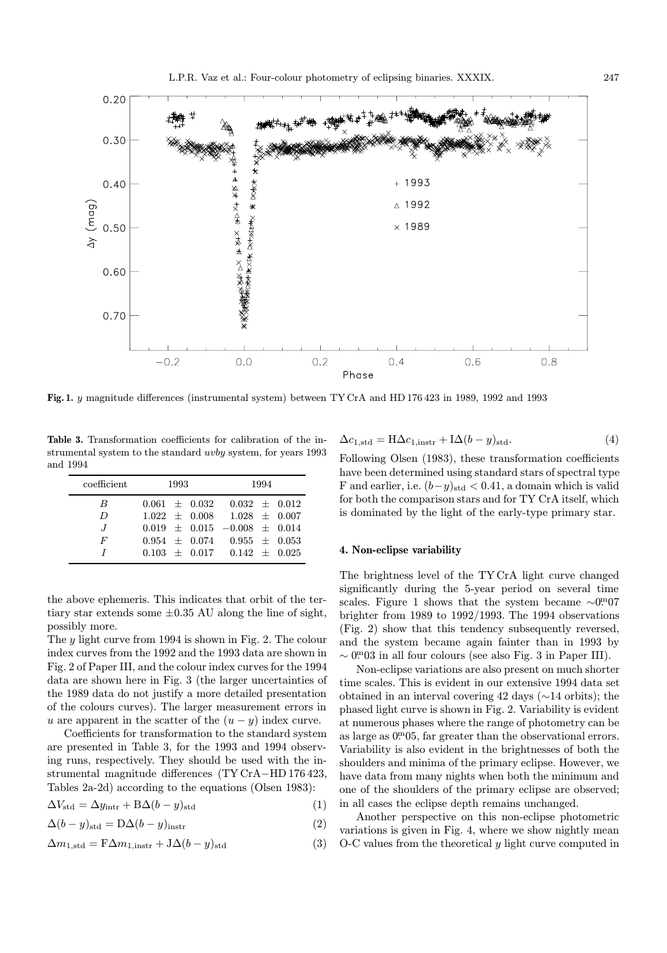

Fig. 1. y magnitude differences (instrumental system) between TY CrA and HD 176 423 in 1989, 1992 and 1993

Table 3. Transformation coefficients for calibration of the instrumental system to the standard uvby system, for years 1993 and 1994

| coefficient      | 1993 | 1994                                    |  |
|------------------|------|-----------------------------------------|--|
| B                |      | $0.061 \pm 0.032 \quad 0.032 \pm 0.012$ |  |
| $\boldsymbol{D}$ |      | $1.022 \pm 0.008$ $1.028 \pm 0.007$     |  |
| J                |      | $0.019 \pm 0.015 -0.008 \pm 0.014$      |  |
| F                |      | $0.954 \pm 0.074$ $0.955 \pm 0.053$     |  |
|                  |      | $0.103 + 0.017 - 0.142 + 0.025$         |  |

the above ephemeris. This indicates that orbit of the tertiary star extends some  $\pm 0.35$  AU along the line of sight, possibly more.

The y light curve from 1994 is shown in Fig. 2. The colour index curves from the 1992 and the 1993 data are shown in Fig. 2 of Paper III, and the colour index curves for the 1994 data are shown here in Fig. 3 (the larger uncertainties of the 1989 data do not justify a more detailed presentation of the colours curves). The larger measurement errors in u are apparent in the scatter of the  $(u - y)$  index curve.

Coefficients for transformation to the standard system are presented in Table 3, for the 1993 and 1994 observing runs, respectively. They should be used with the instrumental magnitude differences (TY CrA−HD 176 423, Tables 2a-2d) according to the equations (Olsen 1983):

$$
\Delta V_{\text{std}} = \Delta y_{\text{intr}} + \text{B}\Delta (b - y)_{\text{std}} \tag{1}
$$

$$
\Delta(b-y)_{\text{std}} = D\Delta(b-y)_{\text{instr}} \tag{2}
$$

$$
\Delta m_{1, \text{std}} = \mathbf{F} \Delta m_{1, \text{instr}} + \mathbf{J} \Delta (b - y)_{\text{std}} \tag{3}
$$

$$
\Delta c_{1,\text{std}} = H \Delta c_{1,\text{instr}} + I \Delta (b - y)_{\text{std}}.\tag{4}
$$

Following Olsen (1983), these transformation coefficients have been determined using standard stars of spectral type F and earlier, i.e.  $(b-y)_{std} < 0.41$ , a domain which is valid for both the comparison stars and for TY CrA itself, which is dominated by the light of the early-type primary star.

#### 4. Non-eclipse variability

The brightness level of the TY CrA light curve changed significantly during the 5-year period on several time scales. Figure 1 shows that the system became  $\sim 0.007$ brighter from 1989 to 1992/1993. The 1994 observations (Fig. 2) show that this tendency subsequently reversed, and the system became again fainter than in 1993 by  $\sim 0^{m}03$  in all four colours (see also Fig. 3 in Paper III).

Non-eclipse variations are also present on much shorter time scales. This is evident in our extensive 1994 data set obtained in an interval covering 42 days (∼14 orbits); the phased light curve is shown in Fig. 2. Variability is evident at numerous phases where the range of photometry can be as large as  $0.05$ , far greater than the observational errors. Variability is also evident in the brightnesses of both the shoulders and minima of the primary eclipse. However, we have data from many nights when both the minimum and one of the shoulders of the primary eclipse are observed; in all cases the eclipse depth remains unchanged.

Another perspective on this non-eclipse photometric variations is given in Fig. 4, where we show nightly mean O-C values from the theoretical y light curve computed in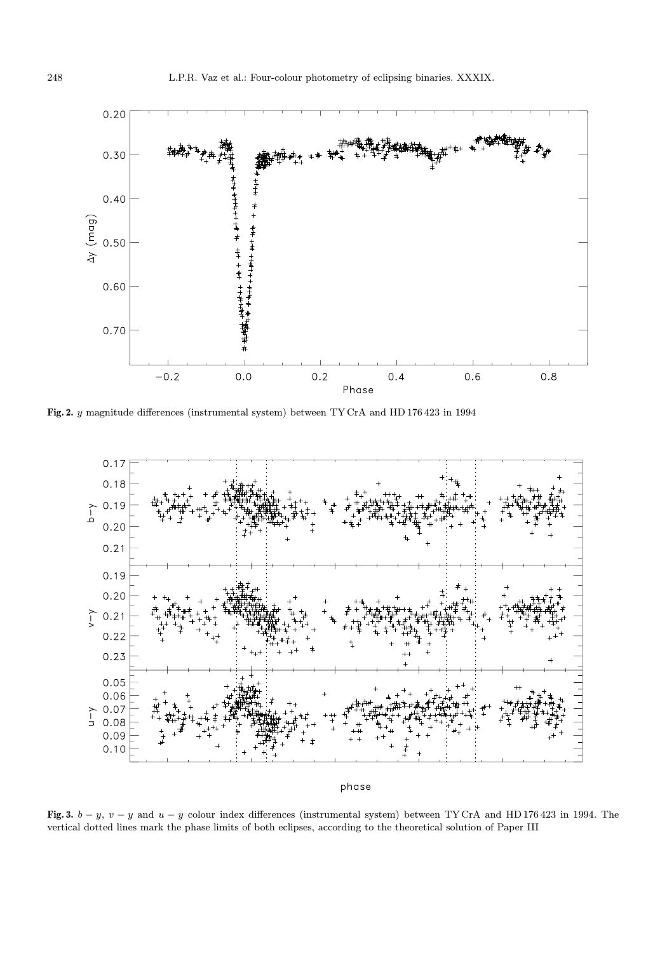

Fig. 2. y magnitude differences (instrumental system) between TY CrA and HD 176 423 in 1994



phase

Fig. 3.  $b - y$ ,  $v - y$  and  $u - y$  colour index differences (instrumental system) between TY CrA and HD 176 423 in 1994. The vertical dotted lines mark the phase limits of both eclipses, according to the theoretical solution of Paper III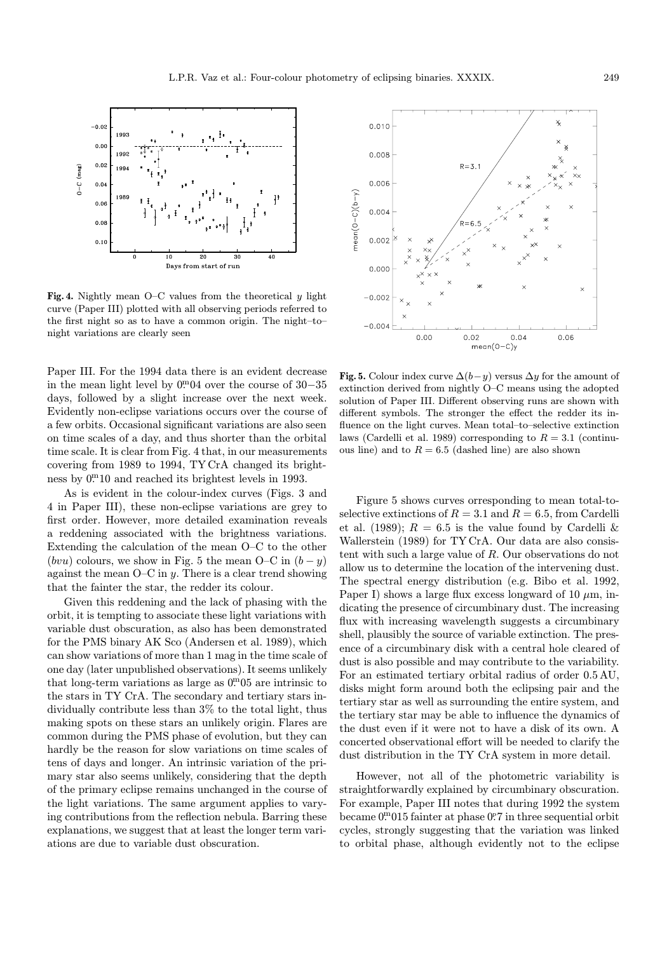

 $\overline{20}$ Days from sta

 $J-C$   $(mag)$ 

Fig. 4. Nightly mean  $O-C$  values from the theoretical  $y$  light curve (Paper III) plotted with all observing periods referred to the first night so as to have a common origin. The night–to– night variations are clearly seen

Paper III. For the 1994 data there is an evident decrease in the mean light level by 0<sup>m</sup>04 over the course of 30–35 days, followed by a slight increase over the next week. Evidently non-eclipse variations occurs over the course of a few orbits. Occasional significant variations are also seen on time scales of a day, and thus shorter than the orbital time scale. It is clear from Fig. 4 that, in our measurements covering from 1989 to 1994, TY CrA changed its brightness by  $0<sup>m</sup>10$  and reached its brightest levels in 1993.

As is evident in the colour-index curves (Figs. 3 and 4 in Paper III), these non-eclipse variations are grey to first order. However, more detailed examination reveals a reddening associated with the brightness variations. Extending the calculation of the mean O–C to the other (bvu) colours, we show in Fig. 5 the mean O–C in  $(b - y)$ against the mean  $O-C$  in y. There is a clear trend showing that the fainter the star, the redder its colour.

Given this reddening and the lack of phasing with the orbit, it is tempting to associate these light variations with variable dust obscuration, as also has been demonstrated for the PMS binary AK Sco (Andersen et al. 1989), which can show variations of more than 1 mag in the time scale of one day (later unpublished observations). It seems unlikely that long-term variations as large as  $0<sup>m</sup>05$  are intrinsic to the stars in TY CrA. The secondary and tertiary stars individually contribute less than 3% to the total light, thus making spots on these stars an unlikely origin. Flares are common during the PMS phase of evolution, but they can hardly be the reason for slow variations on time scales of tens of days and longer. An intrinsic variation of the primary star also seems unlikely, considering that the depth of the primary eclipse remains unchanged in the course of the light variations. The same argument applies to varying contributions from the reflection nebula. Barring these explanations, we suggest that at least the longer term variations are due to variable dust obscuration.



Fig. 5. Colour index curve  $\Delta(b-y)$  versus  $\Delta y$  for the amount of extinction derived from nightly O–C means using the adopted solution of Paper III. Different observing runs are shown with different symbols. The stronger the effect the redder its influence on the light curves. Mean total–to–selective extinction laws (Cardelli et al. 1989) corresponding to  $R = 3.1$  (continuous line) and to  $R = 6.5$  (dashed line) are also shown

Figure 5 shows curves orresponding to mean total-toselective extinctions of  $R = 3.1$  and  $R = 6.5$ , from Cardelli et al. (1989);  $R = 6.5$  is the value found by Cardelli & Wallerstein (1989) for TY CrA. Our data are also consistent with such a large value of R. Our observations do not allow us to determine the location of the intervening dust. The spectral energy distribution (e.g. Bibo et al. 1992, Paper I) shows a large flux excess longward of 10  $\mu$ m, indicating the presence of circumbinary dust. The increasing flux with increasing wavelength suggests a circumbinary shell, plausibly the source of variable extinction. The presence of a circumbinary disk with a central hole cleared of dust is also possible and may contribute to the variability. For an estimated tertiary orbital radius of order 0.5 AU, disks might form around both the eclipsing pair and the tertiary star as well as surrounding the entire system, and the tertiary star may be able to influence the dynamics of the dust even if it were not to have a disk of its own. A concerted observational effort will be needed to clarify the dust distribution in the TY CrA system in more detail.

However, not all of the photometric variability is straightforwardly explained by circumbinary obscuration. For example, Paper III notes that during 1992 the system became 0<sup>m</sup>015 fainter at phase 0?7 in three sequential orbit cycles, strongly suggesting that the variation was linked to orbital phase, although evidently not to the eclipse